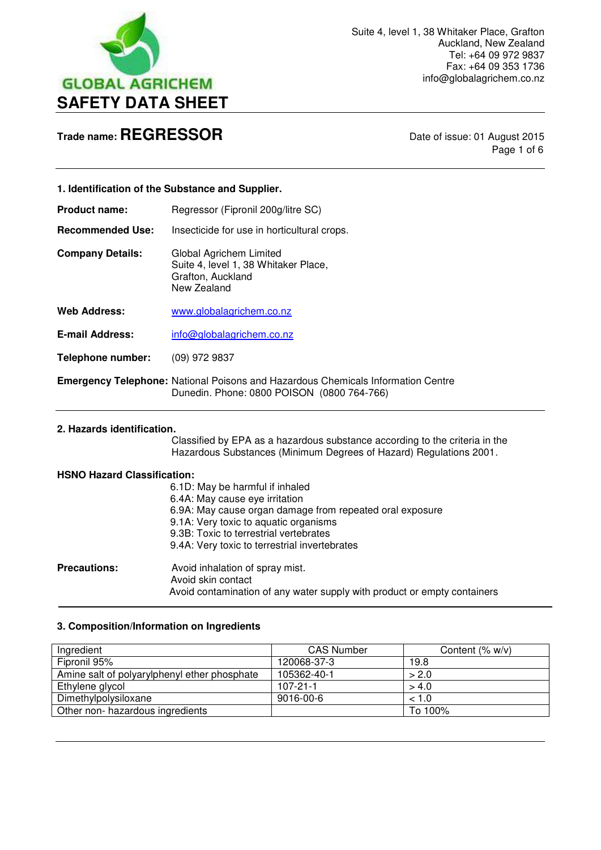

Page 1 of 6

|                            | 1. Identification of the Substance and Supplier.                                                                                                  |
|----------------------------|---------------------------------------------------------------------------------------------------------------------------------------------------|
| <b>Product name:</b>       | Regressor (Fipronil 200g/litre SC)                                                                                                                |
| <b>Recommended Use:</b>    | Insecticide for use in horticultural crops.                                                                                                       |
| <b>Company Details:</b>    | Global Agrichem Limited<br>Suite 4, level 1, 38 Whitaker Place,<br>Grafton, Auckland<br>New Zealand                                               |
| <b>Web Address:</b>        | www.globalagrichem.co.nz                                                                                                                          |
| <b>E-mail Address:</b>     | info@globalagrichem.co.nz                                                                                                                         |
| Telephone number:          | $(09)$ 972 9837                                                                                                                                   |
|                            | <b>Emergency Telephone: National Poisons and Hazardous Chemicals Information Centre</b><br>Dunedin. Phone: 0800 POISON (0800 764-766)             |
| 2. Hazards identification. | Classified by EPA as a hazardous substance according to the criteria in the<br>Hazardous Substances (Minimum Degrees of Hazard) Regulations 2001. |

## **HSNO Hazard Classification:**

|                     | 6.1D: May be harmful if inhaled                                          |
|---------------------|--------------------------------------------------------------------------|
|                     | 6.4A: May cause eye irritation                                           |
|                     | 6.9A: May cause organ damage from repeated oral exposure                 |
|                     | 9.1A: Very toxic to aquatic organisms                                    |
|                     | 9.3B: Toxic to terrestrial vertebrates                                   |
|                     | 9.4A: Very toxic to terrestrial invertebrates                            |
| <b>Precautions:</b> | Avoid inhalation of spray mist.                                          |
|                     | Avoid skin contact                                                       |
|                     | Avoid contamination of any water supply with product or empty containers |
|                     |                                                                          |

## **3. Composition/Information on Ingredients**

| Ingredient                                   | <b>CAS Number</b> | Content $(\% w/v)$ |
|----------------------------------------------|-------------------|--------------------|
| Fipronil 95%                                 | 120068-37-3       | 19.8               |
| Amine salt of polyarylphenyl ether phosphate | 105362-40-1       | > 2.0              |
| Ethylene glycol                              | $107 - 21 - 1$    | > 4.0              |
| Dimethylpolysiloxane                         | 9016-00-6         | < 1.0              |
| Other non- hazardous ingredients             |                   | To 100%            |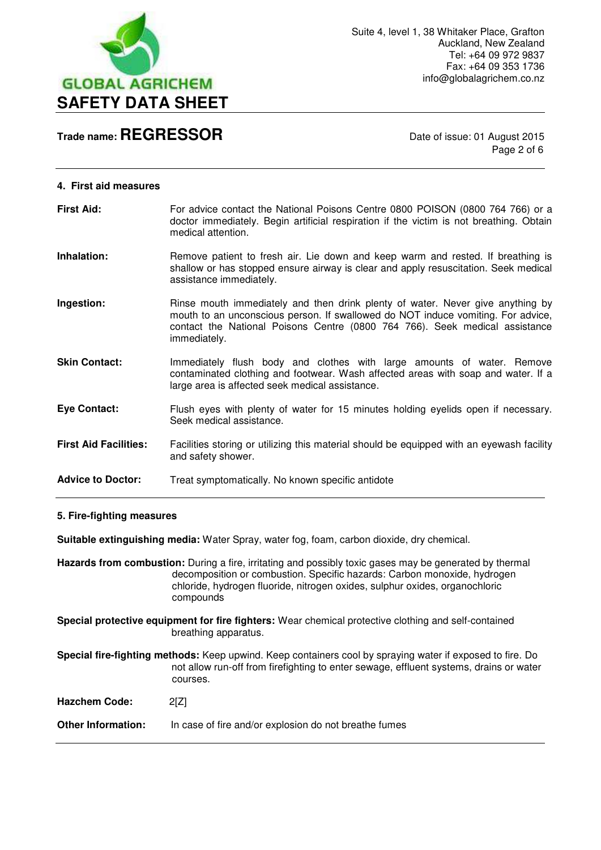

Page 2 of 6

|  |  | 4. First aid measures |  |
|--|--|-----------------------|--|
|--|--|-----------------------|--|

| <b>First Aid:</b>            | For advice contact the National Poisons Centre 0800 POISON (0800 764 766) or a<br>doctor immediately. Begin artificial respiration if the victim is not breathing. Obtain<br>medical attention.                                                                   |
|------------------------------|-------------------------------------------------------------------------------------------------------------------------------------------------------------------------------------------------------------------------------------------------------------------|
| Inhalation:                  | Remove patient to fresh air. Lie down and keep warm and rested. If breathing is<br>shallow or has stopped ensure airway is clear and apply resuscitation. Seek medical<br>assistance immediately.                                                                 |
| Ingestion:                   | Rinse mouth immediately and then drink plenty of water. Never give anything by<br>mouth to an unconscious person. If swallowed do NOT induce vomiting. For advice,<br>contact the National Poisons Centre (0800 764 766). Seek medical assistance<br>immediately. |
| <b>Skin Contact:</b>         | Immediately flush body and clothes with large amounts of water. Remove<br>contaminated clothing and footwear. Wash affected areas with soap and water. If a<br>large area is affected seek medical assistance.                                                    |
| <b>Eye Contact:</b>          | Flush eyes with plenty of water for 15 minutes holding eyelids open if necessary.<br>Seek medical assistance.                                                                                                                                                     |
| <b>First Aid Facilities:</b> | Facilities storing or utilizing this material should be equipped with an eyewash facility<br>and safety shower.                                                                                                                                                   |

### Advice to Doctor: Treat symptomatically. No known specific antidote

### **5. Fire-fighting measures**

**Suitable extinguishing media:** Water Spray, water fog, foam, carbon dioxide, dry chemical.

**Hazards from combustion:** During a fire, irritating and possibly toxic gases may be generated by thermal decomposition or combustion. Specific hazards: Carbon monoxide, hydrogen chloride, hydrogen fluoride, nitrogen oxides, sulphur oxides, organochloric compounds

**Special protective equipment for fire fighters:** Wear chemical protective clothing and self-contained breathing apparatus.

**Special fire-fighting methods:** Keep upwind. Keep containers cool by spraying water if exposed to fire. Do not allow run-off from firefighting to enter sewage, effluent systems, drains or water courses.

| 2[Z] |
|------|
|      |

**Other Information:** In case of fire and/or explosion do not breathe fumes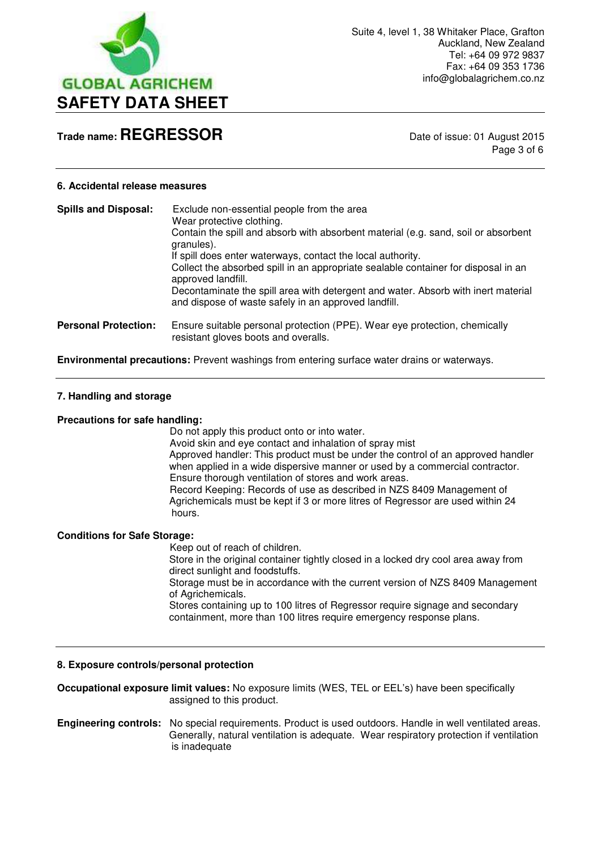

Page 3 of 6

### **6. Accidental release measures**

| <b>Spills and Disposal:</b> | Exclude non-essential people from the area<br>Wear protective clothing.<br>Contain the spill and absorb with absorbent material (e.g. sand, soil or absorbent<br>granules).<br>If spill does enter waterways, contact the local authority.<br>Collect the absorbed spill in an appropriate sealable container for disposal in an<br>approved landfill.<br>Decontaminate the spill area with detergent and water. Absorb with inert material<br>and dispose of waste safely in an approved landfill. |
|-----------------------------|-----------------------------------------------------------------------------------------------------------------------------------------------------------------------------------------------------------------------------------------------------------------------------------------------------------------------------------------------------------------------------------------------------------------------------------------------------------------------------------------------------|
| <b>Personal Protection:</b> | Ensure suitable personal protection (PPE). Wear eye protection, chemically<br>resistant gloves boots and overalls.                                                                                                                                                                                                                                                                                                                                                                                  |

**Environmental precautions:** Prevent washings from entering surface water drains or waterways.

### **7. Handling and storage**

#### **Precautions for safe handling:**

 Do not apply this product onto or into water. Avoid skin and eye contact and inhalation of spray mist Approved handler: This product must be under the control of an approved handler when applied in a wide dispersive manner or used by a commercial contractor. Ensure thorough ventilation of stores and work areas. Record Keeping: Records of use as described in NZS 8409 Management of Agrichemicals must be kept if 3 or more litres of Regressor are used within 24 hours.

## **Conditions for Safe Storage:**

 Keep out of reach of children. Store in the original container tightly closed in a locked dry cool area away from direct sunlight and foodstuffs. Storage must be in accordance with the current version of NZS 8409 Management of Agrichemicals. Stores containing up to 100 litres of Regressor require signage and secondary containment, more than 100 litres require emergency response plans.

### **8. Exposure controls/personal protection**

**Occupational exposure limit values:** No exposure limits (WES, TEL or EEL's) have been specifically assigned to this product.

**Engineering controls:** No special requirements. Product is used outdoors. Handle in well ventilated areas. Generally, natural ventilation is adequate. Wear respiratory protection if ventilation is inadequate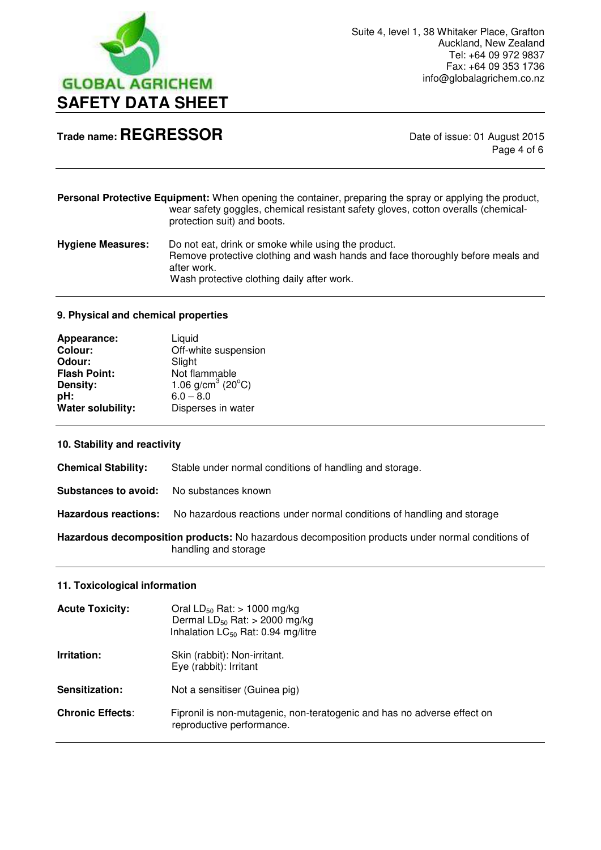

Page 4 of 6

**Personal Protective Equipment:** When opening the container, preparing the spray or applying the product, wear safety goggles, chemical resistant safety gloves, cotton overalls (chemicalprotection suit) and boots.

**Hygiene Measures:** Do not eat, drink or smoke while using the product. Remove protective clothing and wash hands and face thoroughly before meals and after work. Wash protective clothing daily after work.

### **9. Physical and chemical properties**

| Appearance:         | Liquid                           |
|---------------------|----------------------------------|
| <b>Colour:</b>      | Off-white suspension             |
| Odour:              | Slight                           |
| <b>Flash Point:</b> | Not flammable                    |
| Density:            | 1.06 $g/cm3$ (20 <sup>°</sup> C) |
| pH:                 | $6.0 - 8.0$                      |
| Water solubility:   | Disperses in water               |

## **10. Stability and reactivity**

**Chemical Stability:** Stable under normal conditions of handling and storage. **Substances to avoid:** No substances known **Hazardous reactions:** No hazardous reactions under normal conditions of handling and storage **Hazardous decomposition products:** No hazardous decomposition products under normal conditions of handling and storage

## **11. Toxicological information**

| <b>Acute Toxicity:</b>  | Oral $LD_{50}$ Rat: > 1000 mg/kg<br>Dermal $LD_{50}$ Rat: > 2000 mg/kg<br>Inhalation $LC_{50}$ Rat: 0.94 mg/litre |
|-------------------------|-------------------------------------------------------------------------------------------------------------------|
| Irritation:             | Skin (rabbit): Non-irritant.<br>Eye (rabbit): Irritant                                                            |
| <b>Sensitization:</b>   | Not a sensitiser (Guinea pig)                                                                                     |
| <b>Chronic Effects:</b> | Fipronil is non-mutagenic, non-teratogenic and has no adverse effect on<br>reproductive performance.              |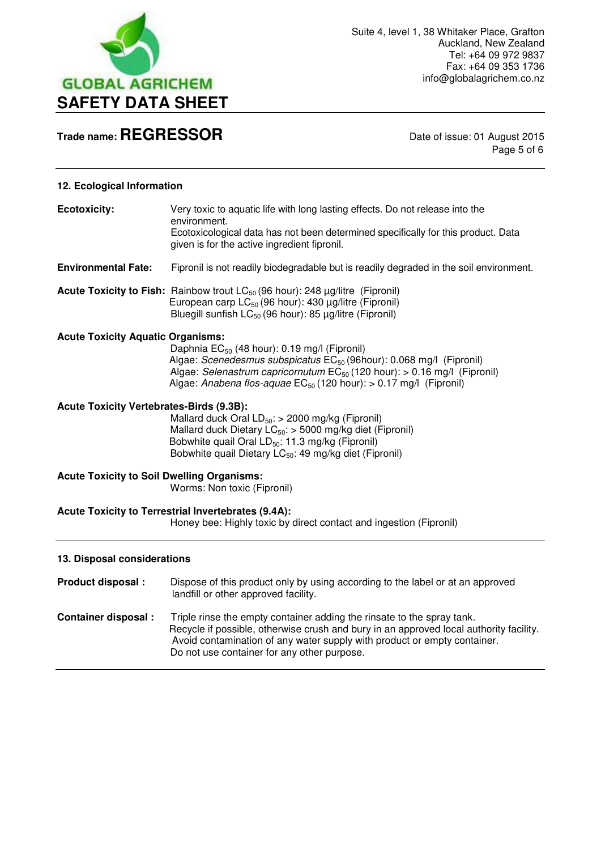

Page 5 of 6

## **12. Ecological Information**

| <b>Ecotoxicity:</b>                               | Very toxic to aquatic life with long lasting effects. Do not release into the<br>environment.<br>Ecotoxicological data has not been determined specifically for this product. Data<br>given is for the active ingredient fipronil.                                                                            |
|---------------------------------------------------|---------------------------------------------------------------------------------------------------------------------------------------------------------------------------------------------------------------------------------------------------------------------------------------------------------------|
| <b>Environmental Fate:</b>                        | Fipronil is not readily biodegradable but is readily degraded in the soil environment.                                                                                                                                                                                                                        |
|                                                   | <b>Acute Toxicity to Fish:</b> Rainbow trout $LC_{50}$ (96 hour): 248 $\mu$ g/litre (Fipronil)<br>European carp $LC_{50}$ (96 hour): 430 $\mu$ g/litre (Fipronil)<br>Bluegill sunfish $LC_{50}$ (96 hour): 85 $\mu$ g/litre (Fipronil)                                                                        |
| <b>Acute Toxicity Aquatic Organisms:</b>          | Daphnia EC <sub>50</sub> (48 hour): 0.19 mg/l (Fipronil)<br>Algae: Scenedesmus subspicatus EC <sub>50</sub> (96hour): 0.068 mg/l (Fipronil)<br>Algae: Selenastrum capricornutum EC <sub>50</sub> (120 hour): > 0.16 mg/l (Fipronil)<br>Algae: Anabena flos-aquae $EC_{50}$ (120 hour): > 0.17 mg/l (Fipronil) |
| <b>Acute Toxicity Vertebrates-Birds (9.3B):</b>   | Mallard duck Oral $LD_{50}$ : > 2000 mg/kg (Fipronil)<br>Mallard duck Dietary $LC_{50}$ : > 5000 mg/kg diet (Fipronil)<br>Bobwhite quail Oral LD <sub>50</sub> : 11.3 mg/kg (Fipronil)<br>Bobwhite quail Dietary LC <sub>50</sub> : 49 mg/kg diet (Fipronil)                                                  |
| <b>Acute Toxicity to Soil Dwelling Organisms:</b> | Worms: Non toxic (Fipronil)                                                                                                                                                                                                                                                                                   |
|                                                   | Acute Toxicity to Terrestrial Invertebrates (9.4A):<br>Honey bee: Highly toxic by direct contact and ingestion (Fipronil)                                                                                                                                                                                     |
| 13. Disposal considerations                       |                                                                                                                                                                                                                                                                                                               |
| Product disposal :                                | Dispose of this product only by using according to the label or at an approved<br>landfill or other approved facility.                                                                                                                                                                                        |
| <b>Container disposal:</b>                        | Triple rinse the empty container adding the rinsate to the spray tank.<br>Recycle if possible, otherwise crush and bury in an approved local authority facility.                                                                                                                                              |

 Avoid contamination of any water supply with product or empty container. Do not use container for any other purpose.